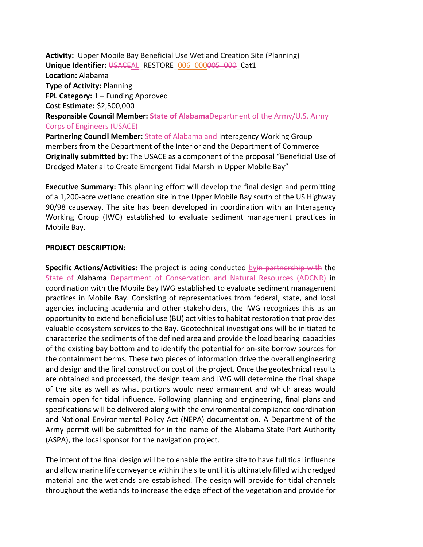**Activity:** Upper Mobile Bay Beneficial Use Wetland Creation Site (Planning) Unique Identifier: USACEAL\_RESTORE\_006\_000005\_000\_Cat1 **Location:** Alabama **Type of Activity:** Planning **FPL Category:** 1 – Funding Approved **Cost Estimate:** \$2,500,000 **Responsible Council Member: State of Alabama**Department of the Army/U.S. Army Corps of Engineers (USACE) Partnering Council Member: State of Alabama and Interagency Working Group

members from the Department of the Interior and the Department of Commerce **Originally submitted by:** The USACE as a component of the proposal "Beneficial Use of Dredged Material to Create Emergent Tidal Marsh in Upper Mobile Bay"

**Executive Summary:** This planning effort will develop the final design and permitting of a 1,200-acre wetland creation site in the Upper Mobile Bay south of the US Highway 90/98 causeway. The site has been developed in coordination with an Interagency Working Group (IWG) established to evaluate sediment management practices in Mobile Bay.

#### **PROJECT DESCRIPTION:**

**Specific Actions/Activities:** The project is being conducted byin partnership with the State of Alabama Department of Conservation and Natural Resources (ADCNR) in coordination with the Mobile Bay IWG established to evaluate sediment management practices in Mobile Bay. Consisting of representatives from federal, state, and local agencies including academia and other stakeholders, the IWG recognizes this as an opportunity to extend beneficial use (BU) activities to habitat restoration that provides valuable ecosystem services to the Bay. Geotechnical investigations will be initiated to characterize the sediments of the defined area and provide the load bearing capacities of the existing bay bottom and to identify the potential for on-site borrow sources for the containment berms. These two pieces of information drive the overall engineering and design and the final construction cost of the project. Once the geotechnical results are obtained and processed, the design team and IWG will determine the final shape of the site as well as what portions would need armament and which areas would remain open for tidal influence. Following planning and engineering, final plans and specifications will be delivered along with the environmental compliance coordination and National Environmental Policy Act (NEPA) documentation. A Department of the Army permit will be submitted for in the name of the Alabama State Port Authority (ASPA), the local sponsor for the navigation project.

The intent of the final design will be to enable the entire site to have full tidal influence and allow marine life conveyance within the site until it is ultimately filled with dredged material and the wetlands are established. The design will provide for tidal channels throughout the wetlands to increase the edge effect of the vegetation and provide for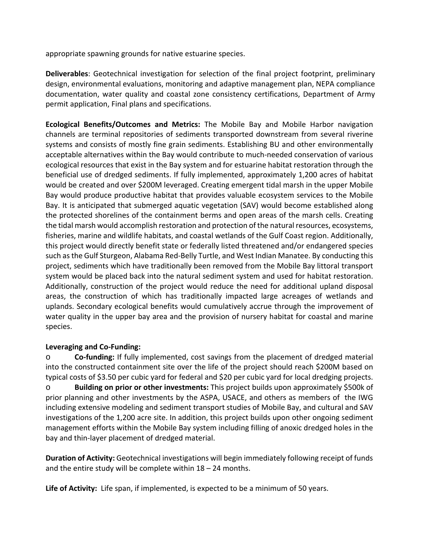appropriate spawning grounds for native estuarine species.

**Deliverables**: Geotechnical investigation for selection of the final project footprint, preliminary design, environmental evaluations, monitoring and adaptive management plan, NEPA compliance documentation, water quality and coastal zone consistency certifications, Department of Army permit application, Final plans and specifications.

**Ecological Benefits/Outcomes and Metrics:** The Mobile Bay and Mobile Harbor navigation channels are terminal repositories of sediments transported downstream from several riverine systems and consists of mostly fine grain sediments. Establishing BU and other environmentally acceptable alternatives within the Bay would contribute to much-needed conservation of various ecological resources that exist in the Bay system and for estuarine habitat restoration through the beneficial use of dredged sediments. If fully implemented, approximately 1,200 acres of habitat would be created and over \$200M leveraged. Creating emergent tidal marsh in the upper Mobile Bay would produce productive habitat that provides valuable ecosystem services to the Mobile Bay. It is anticipated that submerged aquatic vegetation (SAV) would become established along the protected shorelines of the containment berms and open areas of the marsh cells. Creating the tidal marsh would accomplish restoration and protection of the natural resources, ecosystems, fisheries, marine and wildlife habitats, and coastal wetlands of the Gulf Coast region. Additionally, this project would directly benefit state or federally listed threatened and/or endangered species such as the Gulf Sturgeon, Alabama Red-Belly Turtle, and West Indian Manatee. By conducting this project, sediments which have traditionally been removed from the Mobile Bay littoral transport system would be placed back into the natural sediment system and used for habitat restoration. Additionally, construction of the project would reduce the need for additional upland disposal areas, the construction of which has traditionally impacted large acreages of wetlands and uplands. Secondary ecological benefits would cumulatively accrue through the improvement of water quality in the upper bay area and the provision of nursery habitat for coastal and marine species.

# **Leveraging and Co-Funding:**

o **Co-funding:** If fully implemented, cost savings from the placement of dredged material into the constructed containment site over the life of the project should reach \$200M based on typical costs of \$3.50 per cubic yard for federal and \$20 per cubic yard for local dredging projects. o **Building on prior or other investments:** This project builds upon approximately \$500k of prior planning and other investments by the ASPA, USACE, and others as members of the IWG including extensive modeling and sediment transport studies of Mobile Bay, and cultural and SAV investigations of the 1,200 acre site. In addition, this project builds upon other ongoing sediment management efforts within the Mobile Bay system including filling of anoxic dredged holes in the bay and thin-layer placement of dredged material.

**Duration of Activity:** Geotechnical investigations will begin immediately following receipt of funds and the entire study will be complete within 18 – 24 months.

**Life of Activity:** Life span, if implemented, is expected to be a minimum of 50 years.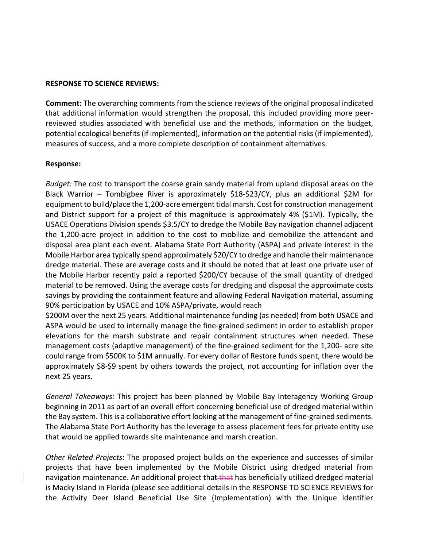### **RESPONSE TO SCIENCE REVIEWS:**

**Comment:** The overarching comments from the science reviews of the original proposal indicated that additional information would strengthen the proposal, this included providing more peerreviewed studies associated with beneficial use and the methods, information on the budget, potential ecological benefits (if implemented), information on the potential risks (if implemented), measures of success, and a more complete description of containment alternatives.

# **Response:**

*Budget:* The cost to transport the coarse grain sandy material from upland disposal areas on the Black Warrior – Tombigbee River is approximately \$18-\$23/CY, plus an additional \$2M for equipment to build/place the 1,200-acre emergent tidal marsh. Cost for construction management and District support for a project of this magnitude is approximately 4% (\$1M). Typically, the USACE Operations Division spends \$3.5/CY to dredge the Mobile Bay navigation channel adjacent the 1,200-acre project in addition to the cost to mobilize and demobilize the attendant and disposal area plant each event. Alabama State Port Authority (ASPA) and private interest in the Mobile Harbor area typically spend approximately \$20/CY to dredge and handle their maintenance dredge material. These are average costs and it should be noted that at least one private user of the Mobile Harbor recently paid a reported \$200/CY because of the small quantity of dredged material to be removed. Using the average costs for dredging and disposal the approximate costs savings by providing the containment feature and allowing Federal Navigation material, assuming 90% participation by USACE and 10% ASPA/private, would reach

\$200M over the next 25 years. Additional maintenance funding (as needed) from both USACE and ASPA would be used to internally manage the fine-grained sediment in order to establish proper elevations for the marsh substrate and repair containment structures when needed. These management costs (adaptive management) of the fine-grained sediment for the 1,200- acre site could range from \$500K to \$1M annually. For every dollar of Restore funds spent, there would be approximately \$8-\$9 spent by others towards the project, not accounting for inflation over the next 25 years.

*General Takeaways:* This project has been planned by Mobile Bay Interagency Working Group beginning in 2011 as part of an overall effort concerning beneficial use of dredged material within the Bay system. This is a collaborative effort looking at the management of fine-grained sediments. The Alabama State Port Authority has the leverage to assess placement fees for private entity use that would be applied towards site maintenance and marsh creation.

*Other Related Projects*: The proposed project builds on the experience and successes of similar projects that have been implemented by the Mobile District using dredged material from navigation maintenance. An additional project that that has beneficially utilized dredged material is Macky Island in Florida (please see additional details in the RESPONSE TO SCIENCE REVIEWS for the Activity Deer Island Beneficial Use Site (Implementation) with the Unique Identifier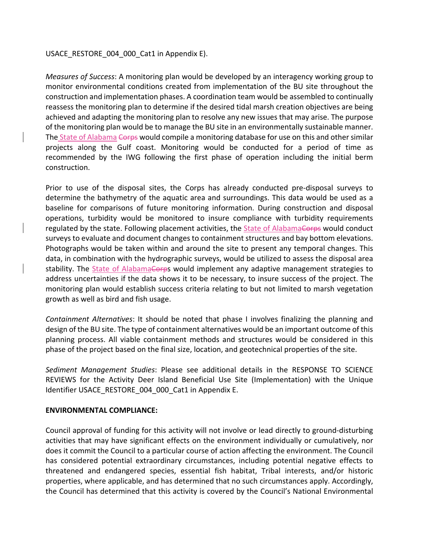## USACE\_RESTORE\_004\_000\_Cat1 in Appendix E).

*Measures of Success*: A monitoring plan would be developed by an interagency working group to monitor environmental conditions created from implementation of the BU site throughout the construction and implementation phases. A coordination team would be assembled to continually reassess the monitoring plan to determine if the desired tidal marsh creation objectives are being achieved and adapting the monitoring plan to resolve any new issues that may arise. The purpose of the monitoring plan would be to manage the BU site in an environmentally sustainable manner. The State of Alabama Corps would compile a monitoring database for use on this and other similar projects along the Gulf coast. Monitoring would be conducted for a period of time as recommended by the IWG following the first phase of operation including the initial berm construction.

Prior to use of the disposal sites, the Corps has already conducted pre-disposal surveys to determine the bathymetry of the aquatic area and surroundings. This data would be used as a baseline for comparisons of future monitoring information. During construction and disposal operations, turbidity would be monitored to insure compliance with turbidity requirements regulated by the state. Following placement activities, the State of AlabamaCorps would conduct surveys to evaluate and document changes to containment structures and bay bottom elevations. Photographs would be taken within and around the site to present any temporal changes. This data, in combination with the hydrographic surveys, would be utilized to assess the disposal area stability. The State of Alabama Corps would implement any adaptive management strategies to address uncertainties if the data shows it to be necessary, to insure success of the project. The monitoring plan would establish success criteria relating to but not limited to marsh vegetation growth as well as bird and fish usage.

*Containment Alternatives*: It should be noted that phase I involves finalizing the planning and design of the BU site. The type of containment alternatives would be an important outcome of this planning process. All viable containment methods and structures would be considered in this phase of the project based on the final size, location, and geotechnical properties of the site.

*Sediment Management Studies*: Please see additional details in the RESPONSE TO SCIENCE REVIEWS for the Activity Deer Island Beneficial Use Site (Implementation) with the Unique Identifier USACE\_RESTORE\_004\_000\_Cat1 in Appendix E.

#### **ENVIRONMENTAL COMPLIANCE:**

Council approval of funding for this activity will not involve or lead directly to ground-disturbing activities that may have significant effects on the environment individually or cumulatively, nor does it commit the Council to a particular course of action affecting the environment. The Council has considered potential extraordinary circumstances, including potential negative effects to threatened and endangered species, essential fish habitat, Tribal interests, and/or historic properties, where applicable, and has determined that no such circumstances apply. Accordingly, the Council has determined that this activity is covered by the Council's National Environmental